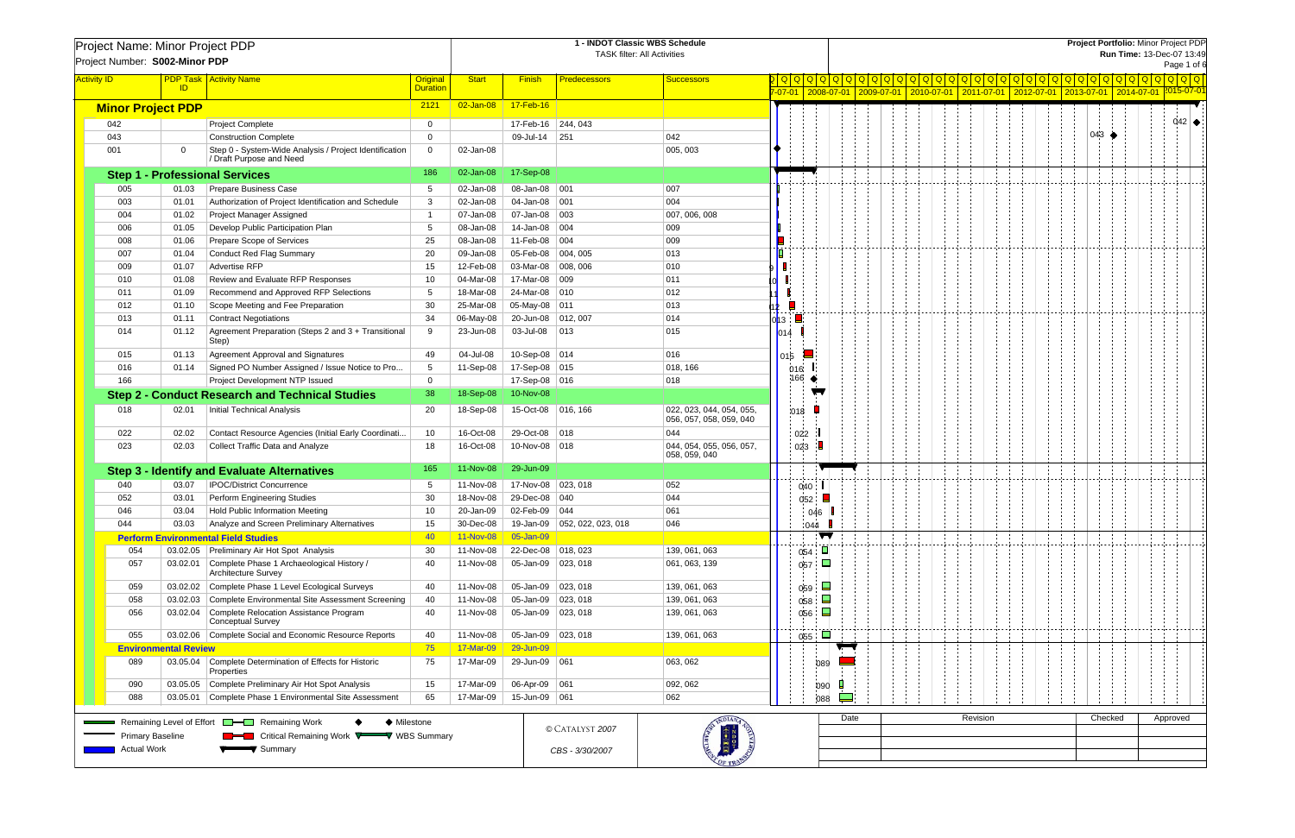|                                               | Project Name: Minor Project PDP                                                                                   |                                     |                                    |                       | 1 - INDOT Classic WBS Schedule     |                                                     | Project Portfolio: Minor Project PDP |            |                                          |                                                                                      |          |  |  |         |  |          |                  |  |  |  |
|-----------------------------------------------|-------------------------------------------------------------------------------------------------------------------|-------------------------------------|------------------------------------|-----------------------|------------------------------------|-----------------------------------------------------|--------------------------------------|------------|------------------------------------------|--------------------------------------------------------------------------------------|----------|--|--|---------|--|----------|------------------|--|--|--|
| Project Number: S002-Minor PDP                |                                                                                                                   |                                     | <b>TASK filter: All Activities</b> |                       |                                    |                                                     |                                      |            | Run Time: 13-Dec-07 13:49<br>Page 1 of 6 |                                                                                      |          |  |  |         |  |          |                  |  |  |  |
| <b>Activity ID</b>                            | <b>PDP Task   Activity Name</b>                                                                                   | Original                            | <b>Start</b>                       | <b>Finish</b>         | <b>Predecessors</b>                | <b>Successors</b>                                   |                                      |            |                                          |                                                                                      |          |  |  |         |  |          |                  |  |  |  |
|                                               | ID                                                                                                                | <b>Duration</b>                     |                                    |                       |                                    |                                                     |                                      |            |                                          | 7-07-01 2008-07-01 2009-07-01 2010-07-01 2011-07-01 2012-07-01 2013-07-01 2014-07-01 |          |  |  |         |  |          | <u>2015-07-0</u> |  |  |  |
| <b>Minor Project PDP</b>                      |                                                                                                                   | 2121                                | $02$ -Jan-08                       | 17-Feb-16             |                                    |                                                     |                                      |            |                                          |                                                                                      |          |  |  |         |  |          |                  |  |  |  |
| 042                                           | <b>Project Complete</b>                                                                                           | $\mathbf{0}$                        |                                    | 17-Feb-16 244, 043    |                                    |                                                     |                                      |            |                                          |                                                                                      |          |  |  |         |  |          | $042$ $\bullet$  |  |  |  |
| 043                                           | <b>Construction Complete</b>                                                                                      | $\Omega$                            |                                    | 09-Jul-14             | 251                                | 042                                                 |                                      |            |                                          |                                                                                      |          |  |  | 043     |  |          |                  |  |  |  |
| 001                                           | Step 0 - System-Wide Analysis / Project Identification<br>$\Omega$                                                | $\overline{0}$                      | 02-Jan-08                          |                       |                                    | 005, 003                                            |                                      |            |                                          |                                                                                      |          |  |  |         |  |          |                  |  |  |  |
|                                               | / Draft Purpose and Need                                                                                          |                                     |                                    |                       |                                    |                                                     |                                      |            |                                          |                                                                                      |          |  |  |         |  |          |                  |  |  |  |
|                                               | <b>Step 1 - Professional Services</b>                                                                             | 186                                 | 02-Jan-08                          | 17-Sep-08             |                                    |                                                     |                                      |            |                                          |                                                                                      |          |  |  |         |  |          |                  |  |  |  |
| 005                                           | Prepare Business Case<br>01.03                                                                                    | -5                                  | 02-Jan-08                          | 08-Jan-08 001         |                                    | 007                                                 |                                      |            |                                          |                                                                                      |          |  |  |         |  |          |                  |  |  |  |
| 003                                           | Authorization of Project Identification and Schedule<br>01.01                                                     | -3                                  | 02-Jan-08                          | 04-Jan-08 001         |                                    | 004                                                 |                                      |            |                                          |                                                                                      |          |  |  |         |  |          |                  |  |  |  |
| 004                                           | 01.02<br>Project Manager Assigned                                                                                 |                                     | 07-Jan-08                          | 07-Jan-08 003         |                                    | 007, 006, 008                                       |                                      |            |                                          |                                                                                      |          |  |  |         |  |          |                  |  |  |  |
| 006                                           | Develop Public Participation Plan<br>01.05                                                                        | -5                                  | 08-Jan-08                          | 14-Jan-08 004         |                                    | 009                                                 |                                      |            |                                          |                                                                                      |          |  |  |         |  |          |                  |  |  |  |
| 008                                           | Prepare Scope of Services<br>01.06                                                                                | 25                                  | 08-Jan-08                          | 11-Feb-08 004         |                                    | 009                                                 |                                      |            |                                          |                                                                                      |          |  |  |         |  |          |                  |  |  |  |
| 007                                           | 01.04<br><b>Conduct Red Flag Summary</b>                                                                          | 20                                  | 09-Jan-08                          | 05-Feb-08 004, 005    |                                    | $ 013\rangle$                                       |                                      |            |                                          |                                                                                      |          |  |  |         |  |          |                  |  |  |  |
| 009                                           | Advertise RFP<br>01.07                                                                                            | 15                                  | 12-Feb-08                          | 03-Mar-08 008, 006    |                                    | 010                                                 |                                      |            |                                          |                                                                                      |          |  |  |         |  |          |                  |  |  |  |
| 010                                           | Review and Evaluate RFP Responses<br>01.08                                                                        | 10                                  | 04-Mar-08                          | 17-Mar-08 009         |                                    | 011                                                 |                                      |            |                                          |                                                                                      |          |  |  |         |  |          |                  |  |  |  |
| 011                                           | Recommend and Approved RFP Selections<br>01.09                                                                    | -5                                  | 18-Mar-08                          | 24-Mar-08 010         |                                    | 012                                                 |                                      |            |                                          |                                                                                      |          |  |  |         |  |          |                  |  |  |  |
| 012                                           | Scope Meeting and Fee Preparation<br>01.10                                                                        | 30                                  | 25-Mar-08                          | 05-May-08 011         |                                    | 013                                                 |                                      |            |                                          |                                                                                      |          |  |  |         |  |          |                  |  |  |  |
| 013                                           | 01.11<br><b>Contract Negotiations</b>                                                                             | 34                                  | 06-May-08                          | 20-Jun-08 012, 007    |                                    | 014                                                 | MВ.                                  |            |                                          |                                                                                      |          |  |  |         |  |          |                  |  |  |  |
| 014                                           | Agreement Preparation (Steps 2 and 3 + Transitional<br>01.12<br>Step)                                             | -9                                  | 23-Jun-08                          | 03-Jul-08             | $ 013\rangle$                      | 015                                                 | $\overline{1014}$                    |            |                                          |                                                                                      |          |  |  |         |  |          |                  |  |  |  |
| 015                                           | 01.13<br>Agreement Approval and Signatures                                                                        | 49                                  | 04-Jul-08                          | 10-Sep-08 014         |                                    | 016                                                 | 015                                  |            |                                          |                                                                                      |          |  |  |         |  |          |                  |  |  |  |
| 016                                           | Signed PO Number Assigned / Issue Notice to Pro<br>01.14                                                          | 5                                   | 11-Sep-08                          | 17-Sep-08 015         |                                    | 018, 166                                            | 016                                  |            |                                          |                                                                                      |          |  |  |         |  |          |                  |  |  |  |
| 166                                           | Project Development NTP Issued                                                                                    | $\Omega$                            |                                    | 17-Sep-08 016         |                                    | 018                                                 | 166                                  |            |                                          |                                                                                      |          |  |  |         |  |          |                  |  |  |  |
|                                               | <b>Step 2 - Conduct Research and Technical Studies</b>                                                            | 38                                  | 18-Sep-08                          | 10-Nov-08             |                                    |                                                     |                                      | ▼          |                                          |                                                                                      |          |  |  |         |  |          |                  |  |  |  |
| 018                                           | <b>Initial Technical Analysis</b><br>02.01                                                                        | 20                                  | 18-Sep-08                          |                       | 15-Oct-08 016, 166                 | 022, 023, 044, 054, 055,<br>056, 057, 058, 059, 040 | 018                                  |            |                                          |                                                                                      |          |  |  |         |  |          |                  |  |  |  |
| 022                                           | Contact Resource Agencies (Initial Early Coordinati.<br>02.02                                                     | 10                                  | 16-Oct-08                          | 29-Oct-08 018         |                                    | 044                                                 | 022                                  |            |                                          |                                                                                      |          |  |  |         |  |          |                  |  |  |  |
| 023                                           | 02.03<br><b>Collect Traffic Data and Analyze</b>                                                                  | 18                                  | 16-Oct-08                          | 10-Nov-08 018         |                                    | 044, 054, 055, 056, 057,<br>058, 059, 040           | 023                                  |            |                                          |                                                                                      |          |  |  |         |  |          |                  |  |  |  |
|                                               | <b>Step 3 - Identify and Evaluate Alternatives</b>                                                                | 165                                 | 11-Nov-08                          | 29-Jun-09             |                                    |                                                     |                                      |            |                                          |                                                                                      |          |  |  |         |  |          |                  |  |  |  |
| 040                                           | <b>IPOC/District Concurrence</b><br>03.07                                                                         | -5                                  | 11-Nov-08                          | 17-Nov-08 023, 018    |                                    | 052                                                 | 040                                  |            |                                          |                                                                                      |          |  |  |         |  |          |                  |  |  |  |
| 052                                           | Perform Engineering Studies<br>03.01                                                                              | 30                                  | 18-Nov-08                          | 29-Dec-08 040         |                                    | 044                                                 |                                      | 052        |                                          |                                                                                      |          |  |  |         |  |          |                  |  |  |  |
| 046                                           | 03.04   Hold Public Information Meeting                                                                           | 10                                  | 20-Jan-09 02-Feb-09 044            |                       |                                    | 061                                                 |                                      | 046        |                                          |                                                                                      |          |  |  |         |  |          |                  |  |  |  |
| 044                                           | Analyze and Screen Preliminary Alternatives<br>03.03                                                              | 15                                  | 30-Dec-08                          |                       | 19-Jan-09 052, 022, 023, 018       | 046                                                 |                                      | 044        |                                          |                                                                                      |          |  |  |         |  |          |                  |  |  |  |
|                                               | <b>Perform Environmental Field Studies</b>                                                                        | 40                                  | 11-Nov-08                          | 05-Jan-09             |                                    |                                                     |                                      | $\sqrt{2}$ |                                          |                                                                                      |          |  |  |         |  |          |                  |  |  |  |
| 054                                           | 03.02.05 Preliminary Air Hot Spot Analysis                                                                        | 30                                  | 11-Nov-08                          | 22-Dec-08 018, 023    |                                    | 139, 061, 063                                       | 054                                  | $\Box$     |                                          |                                                                                      |          |  |  |         |  |          |                  |  |  |  |
| 057                                           | 03.02.01 Complete Phase 1 Archaeological History /<br><b>Architecture Survey</b>                                  | 40                                  | 11-Nov-08                          | 05-Jan-09 $ 023, 018$ |                                    | 061, 063, 139                                       |                                      | 057        |                                          |                                                                                      |          |  |  |         |  |          |                  |  |  |  |
| 059                                           | 03.02.02 Complete Phase 1 Level Ecological Surveys                                                                | 40                                  | 11-Nov-08                          |                       | 05-Jan-09 023, 018                 | 139, 061, 063                                       |                                      | ц<br>059   |                                          |                                                                                      |          |  |  |         |  |          |                  |  |  |  |
| 058                                           | 03.02.03 Complete Environmental Site Assessment Screening                                                         | 40                                  | 11-Nov-08                          |                       | 05-Jan-09 023, 018                 | 139, 061, 063                                       |                                      | 058        |                                          |                                                                                      |          |  |  |         |  |          |                  |  |  |  |
| 056                                           | 03.02.04 Complete Relocation Assistance Program<br><b>Conceptual Survey</b>                                       | 40                                  | 11-Nov-08                          |                       | 05-Jan-09 023, 018                 | 139, 061, 063                                       |                                      | 口<br>056   |                                          |                                                                                      |          |  |  |         |  |          |                  |  |  |  |
| 055                                           | 03.02.06 Complete Social and Economic Resource Reports                                                            | 40                                  | 11-Nov-08                          | 05-Jan-09 023, 018    |                                    | 139, 061, 063                                       |                                      | ш<br>055   |                                          |                                                                                      |          |  |  |         |  |          |                  |  |  |  |
|                                               | <b>Environmental Review</b>                                                                                       | 75                                  | 17-Mar-09                          | 29-Jun-09             |                                    |                                                     |                                      |            |                                          |                                                                                      |          |  |  |         |  |          |                  |  |  |  |
| 089                                           | 03.05.04 Complete Determination of Effects for Historic<br>Properties                                             | 75                                  | 17-Mar-09                          | 29-Jun-09 061         |                                    | 063, 062                                            |                                      | 089        |                                          |                                                                                      |          |  |  |         |  |          |                  |  |  |  |
| 090                                           | 03.05.05 Complete Preliminary Air Hot Spot Analysis                                                               | 15                                  | 17-Mar-09                          | 06-Apr-09 061         |                                    | 092, 062                                            |                                      | 090        |                                          |                                                                                      |          |  |  |         |  |          |                  |  |  |  |
| 088                                           | 03.05.01 Complete Phase 1 Environmental Site Assessment                                                           | 65                                  | 17-Mar-09                          | 15-Jun-09 061         |                                    | 062                                                 |                                      | 088        |                                          |                                                                                      |          |  |  |         |  |          |                  |  |  |  |
|                                               |                                                                                                                   |                                     |                                    |                       |                                    |                                                     |                                      |            | Date                                     |                                                                                      | Revision |  |  | Checked |  | Approved |                  |  |  |  |
| <b>Primary Baseline</b><br><b>Actual Work</b> | Remaining Level of Effort <b>Designal Remaining Work</b><br><b>Communist Critical Remaining Work V</b><br>Summary | ♦ Milestone<br><b>▼</b> WBS Summary |                                    |                       | © CATALYST 2007<br>CBS - 3/30/2007 | <b>MINVITO</b><br>E <sub>D</sub>                    |                                      |            |                                          |                                                                                      |          |  |  |         |  |          |                  |  |  |  |
|                                               |                                                                                                                   |                                     |                                    |                       |                                    |                                                     |                                      |            |                                          |                                                                                      |          |  |  |         |  |          |                  |  |  |  |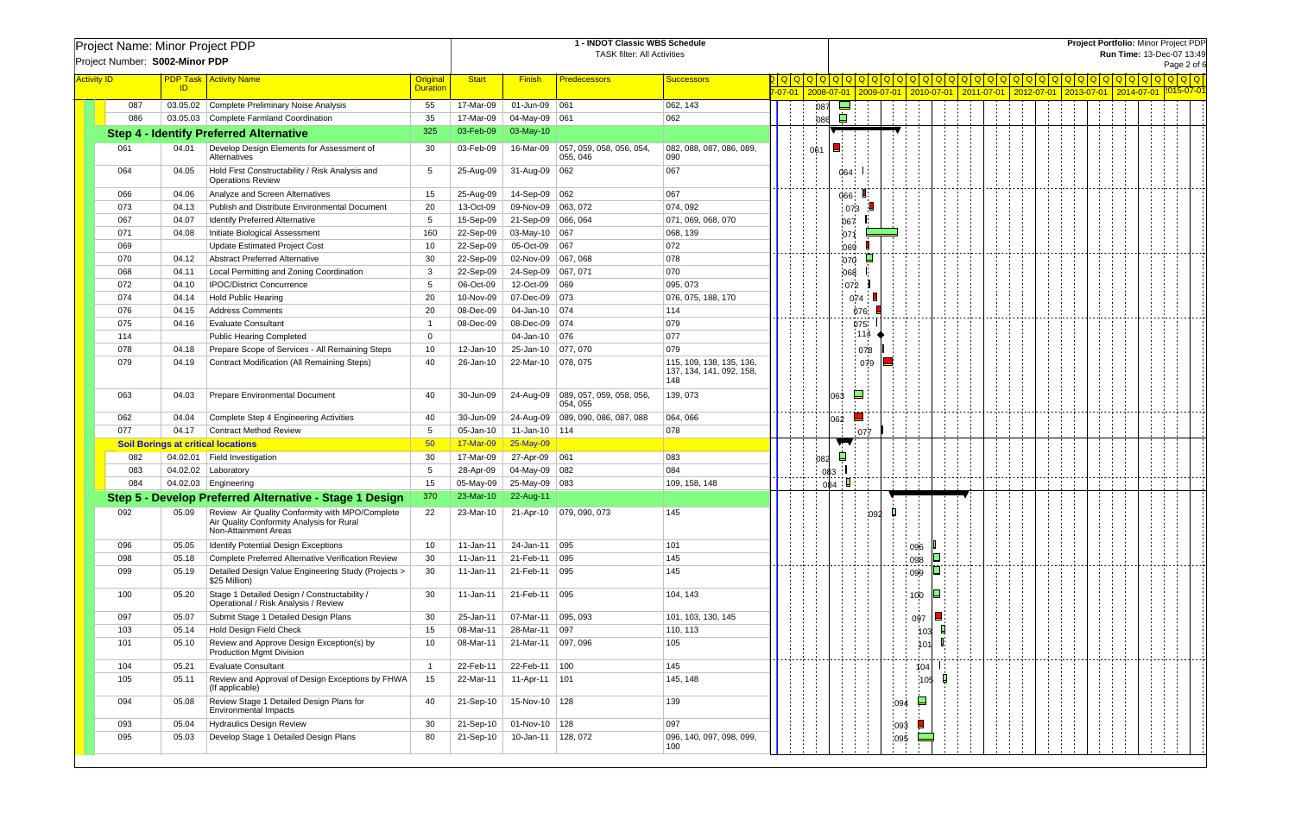| <b>Project Name: Minor Project PDP</b> |                                           |                                                                                                                      |                                    | 1 - INDOT Classic WBS Schedule     |                      |                                                 |                                                           |  |  |     |      | Project Portfolio: Minor Project PDP     |     |               |  |                                                                                                |  |  |  |  |  |  |  |  |  |
|----------------------------------------|-------------------------------------------|----------------------------------------------------------------------------------------------------------------------|------------------------------------|------------------------------------|----------------------|-------------------------------------------------|-----------------------------------------------------------|--|--|-----|------|------------------------------------------|-----|---------------|--|------------------------------------------------------------------------------------------------|--|--|--|--|--|--|--|--|--|
| Project Number: S002-Minor PDP         |                                           |                                                                                                                      |                                    | <b>TASK filter: All Activities</b> |                      |                                                 |                                                           |  |  |     |      | Run Time: 13-Dec-07 13:49<br>Page 2 of 6 |     |               |  |                                                                                                |  |  |  |  |  |  |  |  |  |
|                                        |                                           |                                                                                                                      |                                    |                                    |                      |                                                 |                                                           |  |  |     |      |                                          |     |               |  |                                                                                                |  |  |  |  |  |  |  |  |  |
| <b>Activity ID</b>                     | ID                                        | <b>PDP Task Activity Name</b>                                                                                        | <b>Original</b><br><b>Duration</b> | <b>Start</b>                       | <b>Finish</b>        | <b>Predecessors</b>                             | <b>Successors</b>                                         |  |  |     |      |                                          |     |               |  | 7-07-01 2008-07-01 2009-07-01 2010-07-01 2011-07-01 2012-07-01 2013-07-01 2014-07-01 2015-07-0 |  |  |  |  |  |  |  |  |  |
| 087                                    |                                           | 03.05.02 Complete Preliminary Noise Analysis                                                                         | 55                                 | 17-Mar-09                          | 01-Jun-09 061        |                                                 | 062, 143                                                  |  |  | 087 |      |                                          |     |               |  |                                                                                                |  |  |  |  |  |  |  |  |  |
| 086                                    |                                           | 03.05.03 Complete Farmland Coordination                                                                              | 35                                 | 17-Mar-09                          | 04-May-09 061        |                                                 | 062                                                       |  |  | 086 | Ò    |                                          |     |               |  |                                                                                                |  |  |  |  |  |  |  |  |  |
|                                        |                                           | <b>Step 4 - Identify Preferred Alternative</b>                                                                       | 325                                | 03-Feb-09                          | 03-May-10            |                                                 |                                                           |  |  |     |      |                                          |     |               |  |                                                                                                |  |  |  |  |  |  |  |  |  |
|                                        |                                           |                                                                                                                      |                                    |                                    |                      |                                                 |                                                           |  |  |     |      |                                          |     |               |  |                                                                                                |  |  |  |  |  |  |  |  |  |
| 061                                    | 04.01                                     | Develop Design Elements for Assessment of<br>Alternatives                                                            | 30                                 | 03-Feb-09                          | 16-Mar-09            | $\vert$ 057, 059, 058, 056, 054<br>055, 046     | 082, 088, 087, 086, 089,<br>090                           |  |  | 061 |      |                                          |     |               |  |                                                                                                |  |  |  |  |  |  |  |  |  |
| 064                                    | 04.05                                     | Hold First Constructability / Risk Analysis and<br><b>Operations Review</b>                                          | -5                                 | 25-Aug-09                          | 31-Aug-09 062        |                                                 | 067                                                       |  |  |     | 064  |                                          |     |               |  |                                                                                                |  |  |  |  |  |  |  |  |  |
| 066                                    | 04.06                                     | Analyze and Screen Alternatives                                                                                      | 15                                 | 25-Aug-09                          | 14-Sep-09 062        |                                                 | 067                                                       |  |  |     | 066  |                                          |     |               |  |                                                                                                |  |  |  |  |  |  |  |  |  |
| 073                                    | 04.13                                     | Publish and Distribute Environmental Document                                                                        | 20                                 | 13-Oct-09                          | 09-Nov-09            | 063, 072                                        | 074, 092                                                  |  |  |     | 073  |                                          |     |               |  |                                                                                                |  |  |  |  |  |  |  |  |  |
| 067                                    | 04.07                                     | Identify Preferred Alternative                                                                                       | 5                                  | 15-Sep-09                          | 21-Sep-09 066, 064   |                                                 | 071, 069, 068, 070                                        |  |  |     | 067  |                                          |     |               |  |                                                                                                |  |  |  |  |  |  |  |  |  |
| 071                                    | 04.08                                     | Initiate Biological Assessment                                                                                       | 160                                | 22-Sep-09                          | 03-May-10 067        |                                                 | 068, 139                                                  |  |  |     | 071  |                                          |     |               |  |                                                                                                |  |  |  |  |  |  |  |  |  |
| 069                                    |                                           | <b>Update Estimated Project Cost</b>                                                                                 | 10                                 | 22-Sep-09                          | 05-Oct-09 067        |                                                 | 072                                                       |  |  |     | 1069 |                                          |     |               |  |                                                                                                |  |  |  |  |  |  |  |  |  |
| 070                                    | 04.12                                     | Abstract Preferred Alternative                                                                                       | 30                                 | 22-Sep-09                          | 02-Nov-09 067, 068   |                                                 | 078                                                       |  |  |     | 070  | ┕                                        |     |               |  |                                                                                                |  |  |  |  |  |  |  |  |  |
| 068                                    | 04.11                                     | Local Permitting and Zoning Coordination                                                                             | 3                                  | 22-Sep-09                          | 24-Sep-09   067, 071 |                                                 | 070                                                       |  |  |     | 068  |                                          |     |               |  |                                                                                                |  |  |  |  |  |  |  |  |  |
| 072                                    | 04.10                                     | <b>IPOC/District Concurrence</b>                                                                                     | 5                                  | 06-Oct-09                          | 12-Oct-09 069        |                                                 | 095, 073                                                  |  |  |     | 072  |                                          |     |               |  |                                                                                                |  |  |  |  |  |  |  |  |  |
| 074                                    | 04.14                                     | Hold Public Hearing                                                                                                  | 20                                 | 10-Nov-09                          | 07-Dec-09 073        |                                                 | 076, 075, 188, 170                                        |  |  |     |      | 074                                      |     |               |  |                                                                                                |  |  |  |  |  |  |  |  |  |
| 076                                    | 04.15                                     | <b>Address Comments</b>                                                                                              | 20                                 | 08-Dec-09                          | 04-Jan-10 074        |                                                 | 114                                                       |  |  |     |      | 076                                      |     |               |  |                                                                                                |  |  |  |  |  |  |  |  |  |
| 075                                    | 04.16                                     | <b>Evaluate Consultant</b>                                                                                           | - 1                                | 08-Dec-09                          | 08-Dec-09 074        |                                                 | 079                                                       |  |  |     |      | 075                                      |     |               |  |                                                                                                |  |  |  |  |  |  |  |  |  |
| 114                                    |                                           | <b>Public Hearing Completed</b>                                                                                      | $\Omega$                           |                                    | 04-Jan-10 076        |                                                 | 077                                                       |  |  |     |      | 114                                      |     |               |  |                                                                                                |  |  |  |  |  |  |  |  |  |
| 078                                    | 04.18                                     | Prepare Scope of Services - All Remaining Steps                                                                      | 10                                 | 12-Jan-10                          | 25-Jan-10 077, 070   |                                                 | 079                                                       |  |  |     |      | 078                                      |     |               |  |                                                                                                |  |  |  |  |  |  |  |  |  |
| 079                                    | 04.19                                     | Contract Modification (All Remaining Steps)                                                                          | 40                                 | 26-Jan-10                          | 22-Mar-10 078, 075   |                                                 | 115, 109, 138, 135, 136<br>137, 134, 141, 092, 158<br>148 |  |  |     |      | 079                                      |     |               |  |                                                                                                |  |  |  |  |  |  |  |  |  |
| 063                                    | 04.03                                     | <b>Prepare Environmental Document</b>                                                                                | 40                                 | 30-Jun-09                          |                      | 24-Aug-09   089, 057, 059, 058, 056<br>054, 055 | 139, 073                                                  |  |  |     | 063  | P.                                       |     |               |  |                                                                                                |  |  |  |  |  |  |  |  |  |
| 062                                    | 04.04                                     | Complete Step 4 Engineering Activities                                                                               | 40                                 | 30-Jun-09                          |                      | 24-Aug-09   089, 090, 086, 087, 088             | 064,066                                                   |  |  |     | 062  |                                          |     |               |  |                                                                                                |  |  |  |  |  |  |  |  |  |
| 077                                    | 04.17                                     | Contract Method Review                                                                                               | -5                                 | 05-Jan-10                          | $11$ -Jan-10   114   |                                                 | 078                                                       |  |  |     |      | 077                                      |     |               |  |                                                                                                |  |  |  |  |  |  |  |  |  |
|                                        | <b>Soil Borings at critical locations</b> |                                                                                                                      | 50                                 | 17-Mar-09                          | 25-May-09            |                                                 |                                                           |  |  |     |      |                                          |     |               |  |                                                                                                |  |  |  |  |  |  |  |  |  |
| 082                                    |                                           | 04.02.01   Field Investigation                                                                                       | 30                                 | 17-Mar-09                          | 27-Apr-09 061        |                                                 | 083                                                       |  |  | 082 | ┕    |                                          |     |               |  |                                                                                                |  |  |  |  |  |  |  |  |  |
| 083                                    |                                           | 04.02.02   Laboratory                                                                                                | -5                                 | 28-Apr-09                          | 04-May-09 082        |                                                 | 084                                                       |  |  | 083 |      |                                          |     |               |  |                                                                                                |  |  |  |  |  |  |  |  |  |
| 084                                    |                                           | 04.02.03 Engineering                                                                                                 | 15                                 | 05-May-09                          | 25-May-09 083        |                                                 | 109, 158, 148                                             |  |  | 084 |      |                                          |     |               |  |                                                                                                |  |  |  |  |  |  |  |  |  |
|                                        |                                           | Step 5 - Develop Preferred Alternative - Stage 1 Design                                                              | 370                                | 23-Mar-10                          | 22-Aug-11            |                                                 |                                                           |  |  |     |      |                                          |     |               |  |                                                                                                |  |  |  |  |  |  |  |  |  |
| 092                                    | 05.09                                     | Review Air Quality Conformity with MPO/Complete<br>Air Quality Conformity Analysis for Rural<br>Non-Attainment Areas | 22                                 |                                    |                      | 23-Mar-10 21-Apr-10 079, 090, 073               | 145                                                       |  |  |     |      | 092                                      |     |               |  |                                                                                                |  |  |  |  |  |  |  |  |  |
| 096                                    | 05.05                                     | Identify Potential Design Exceptions                                                                                 | 10                                 | 11-Jan-11                          | 24-Jan-11 095        |                                                 | 101                                                       |  |  |     |      |                                          |     | 096           |  |                                                                                                |  |  |  |  |  |  |  |  |  |
| 098                                    | 05.18                                     | Complete Preferred Alternative Verification Review                                                                   | 30                                 | 11-Jan-11                          | 21-Feb-11 095        |                                                 | 145                                                       |  |  |     |      |                                          |     | 098           |  |                                                                                                |  |  |  |  |  |  |  |  |  |
| 099                                    | 05.19                                     | Detailed Design Value Engineering Study (Projects ><br>\$25 Million)                                                 | 30                                 | 11-Jan-11                          | 21-Feb-11 095        |                                                 | 145                                                       |  |  |     |      |                                          |     | 099           |  |                                                                                                |  |  |  |  |  |  |  |  |  |
| 100                                    | 05.20                                     | Stage 1 Detailed Design / Constructability /<br>Operational / Risk Analysis / Review                                 | 30                                 | 11-Jan-11                          | 21-Feb-11 095        |                                                 | 104, 143                                                  |  |  |     |      |                                          |     | L<br>$10^{0}$ |  |                                                                                                |  |  |  |  |  |  |  |  |  |
| 097                                    | 05.07                                     | Submit Stage 1 Detailed Design Plans                                                                                 | 30                                 | 25-Jan-11                          | 07-Mar-11 095, 093   |                                                 | 101, 103, 130, 145                                        |  |  |     |      |                                          |     | 097           |  |                                                                                                |  |  |  |  |  |  |  |  |  |
| 103                                    | 05.14                                     | Hold Design Field Check                                                                                              | 15                                 | 08-Mar-11                          | 28-Mar-11 097        |                                                 | 110, 113                                                  |  |  |     |      |                                          |     | 103           |  |                                                                                                |  |  |  |  |  |  |  |  |  |
| 101                                    | 05.10                                     | Review and Approve Design Exception(s) by<br>Production Mgmt Division                                                | 10                                 | 08-Mar-11                          | 21-Mar-11 097, 096   |                                                 | 105                                                       |  |  |     |      |                                          |     | 101           |  |                                                                                                |  |  |  |  |  |  |  |  |  |
| 104                                    | 05.21                                     | <b>Evaluate Consultant</b>                                                                                           | - 1                                | 22-Feb-11                          | 22-Feb-11   100      |                                                 | 145                                                       |  |  |     |      |                                          |     | 104           |  |                                                                                                |  |  |  |  |  |  |  |  |  |
| 105                                    | 05.11                                     | Review and Approval of Design Exceptions by FHWA<br>(If applicable)                                                  | 15                                 | 22-Mar-11                          | 11-Apr-11   101      |                                                 | 145, 148                                                  |  |  |     |      |                                          |     | 105           |  |                                                                                                |  |  |  |  |  |  |  |  |  |
| 094                                    | 05.08                                     | Review Stage 1 Detailed Design Plans for<br><b>Environmental Impacts</b>                                             | 40                                 | 21-Sep-10                          | 15-Nov-10 128        |                                                 | 139                                                       |  |  |     |      |                                          | 094 | $\Box$        |  |                                                                                                |  |  |  |  |  |  |  |  |  |
| 093                                    | 05.04                                     | Hydraulics Design Review                                                                                             | 30                                 | 21-Sep-10                          | 01-Nov-10 128        |                                                 | 097                                                       |  |  |     |      |                                          | 093 |               |  |                                                                                                |  |  |  |  |  |  |  |  |  |
| 095                                    | 05.03                                     | Develop Stage 1 Detailed Design Plans                                                                                | 80                                 | 21-Sep-10                          | 10-Jan-11            | 128, 072                                        | 096, 140, 097, 098, 099,<br>100                           |  |  |     |      |                                          | 095 |               |  |                                                                                                |  |  |  |  |  |  |  |  |  |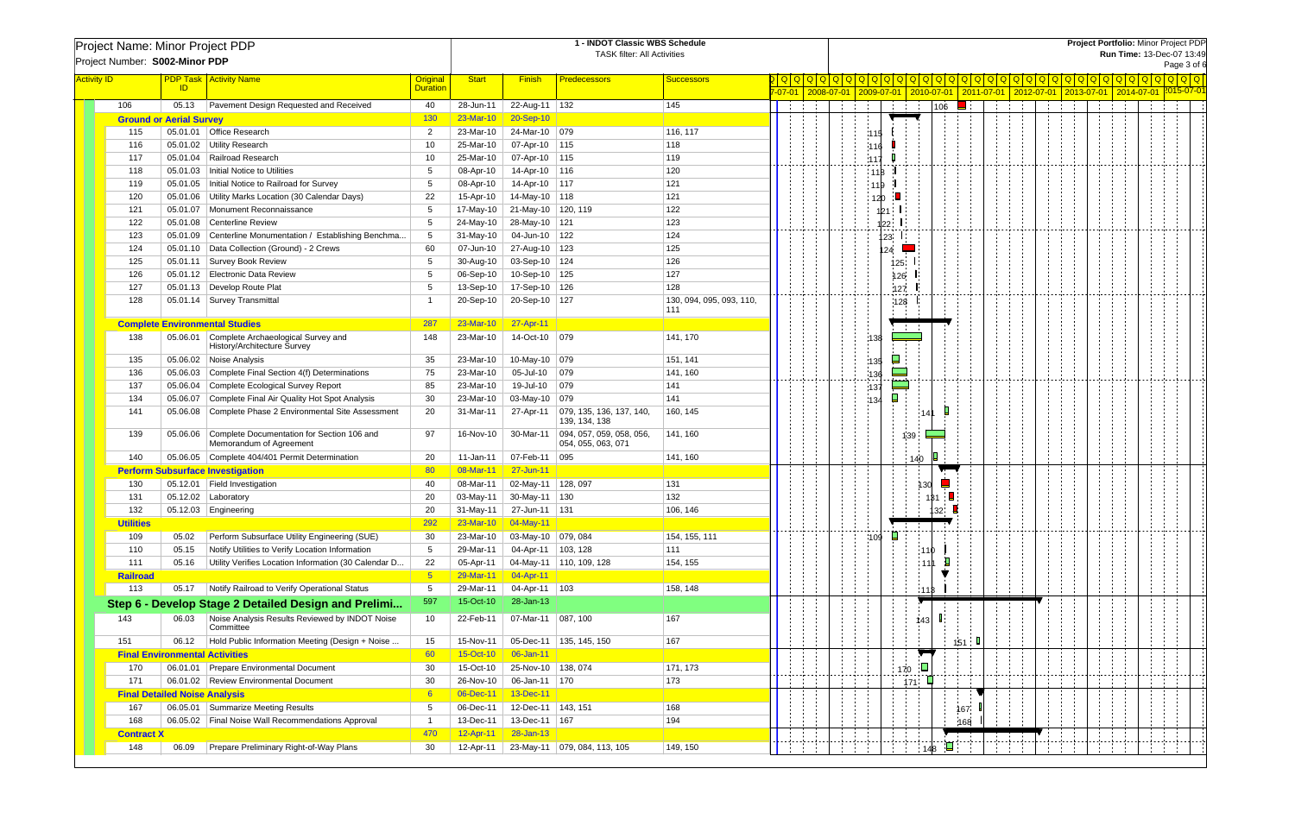|                                |                                |          | Project Name: Minor Project PDP                                                |                                    |                                    | Project Portfolio: Minor Project PDP |                                                       |                          |  |                                                                                                                                                                                                                                    |                       |                  |                                          |      |  |             |  |                       |                |  |             |  |  |  |  |  |
|--------------------------------|--------------------------------|----------|--------------------------------------------------------------------------------|------------------------------------|------------------------------------|--------------------------------------|-------------------------------------------------------|--------------------------|--|------------------------------------------------------------------------------------------------------------------------------------------------------------------------------------------------------------------------------------|-----------------------|------------------|------------------------------------------|------|--|-------------|--|-----------------------|----------------|--|-------------|--|--|--|--|--|
| Project Number: S002-Minor PDP |                                |          |                                                                                |                                    | <b>TASK filter: All Activities</b> |                                      |                                                       |                          |  |                                                                                                                                                                                                                                    |                       |                  | Run Time: 13-Dec-07 13:49<br>Page 3 of 6 |      |  |             |  |                       |                |  |             |  |  |  |  |  |
|                                |                                |          |                                                                                |                                    |                                    |                                      |                                                       |                          |  |                                                                                                                                                                                                                                    |                       |                  |                                          |      |  |             |  |                       |                |  |             |  |  |  |  |  |
| <b>Activity ID</b>             |                                | ID       | <b>PDP Task Activity Name</b>                                                  | <b>Original</b><br><b>Duration</b> | <b>Start</b>                       | <b>Finish</b>                        | <b>Predecessors</b>                                   | <b>Successors</b>        |  | <u>dia laidia laidia laidia laidia laidia laidia laidia laidia laidia laidia laidia laidia laidia laidia laidia </u><br>7-07-01 2008-07-01 2009-07-01 2010-07-01 2011-07-01 2012-07-01 2013-07-01 2014-07-01 <sup>2015-07-01</sup> |                       |                  |                                          |      |  |             |  |                       |                |  |             |  |  |  |  |  |
|                                | 106                            | 05.13    | Pavement Design Requested and Received                                         | 40                                 | 28-Jun-11                          | 22-Aug-11 132                        |                                                       | 145                      |  |                                                                                                                                                                                                                                    | <b>Alberta Carlos</b> |                  | $\frac{1}{2}$ : $\frac{1}{2}$ 106        |      |  | $1 - 1 - 1$ |  | <b>Alberta Carlos</b> | <b>SECTION</b> |  | dia mandata |  |  |  |  |  |
|                                | <b>Ground or Aerial Survey</b> |          |                                                                                | <b>130</b>                         | 23-Mar-10                          | 20-Sep-10                            |                                                       |                          |  |                                                                                                                                                                                                                                    |                       |                  |                                          |      |  |             |  |                       |                |  |             |  |  |  |  |  |
|                                | 115                            |          | 05.01.01   Office Research                                                     | 2                                  | 23-Mar-10                          | 24-Mar-10 079                        |                                                       | 116, 117                 |  |                                                                                                                                                                                                                                    |                       |                  |                                          |      |  |             |  |                       |                |  |             |  |  |  |  |  |
|                                |                                |          | 05.01.02 Utility Research                                                      | 10                                 | 25-Mar-10                          | 07-Apr-10 115                        |                                                       | 118                      |  |                                                                                                                                                                                                                                    | 115                   |                  |                                          |      |  |             |  |                       |                |  |             |  |  |  |  |  |
|                                | 116<br>117                     |          | 05.01.04   Railroad Research                                                   | 10                                 | 25-Mar-10                          | 07-Apr-10 115                        |                                                       | 119                      |  |                                                                                                                                                                                                                                    |                       |                  |                                          |      |  |             |  |                       |                |  |             |  |  |  |  |  |
|                                | 118                            |          | 05.01.03   Initial Notice to Utilities                                         | 5                                  | 08-Apr-10                          | 14-Apr-10 116                        |                                                       | 120                      |  |                                                                                                                                                                                                                                    | :117                  |                  |                                          |      |  |             |  |                       |                |  |             |  |  |  |  |  |
|                                | 119                            |          | 05.01.05   Initial Notice to Railroad for Survey                               | -5                                 | 08-Apr-10                          | 14-Apr-10 117                        |                                                       | 121                      |  |                                                                                                                                                                                                                                    |                       |                  |                                          |      |  |             |  |                       |                |  |             |  |  |  |  |  |
|                                | 120                            |          | 05.01.06   Utility Marks Location (30 Calendar Days)                           | 22                                 | 15-Apr-10                          | 14-May-10 118                        |                                                       | 121                      |  |                                                                                                                                                                                                                                    |                       |                  |                                          |      |  |             |  |                       |                |  |             |  |  |  |  |  |
|                                | 121                            |          | 05.01.07   Monument Reconnaissance                                             | 5                                  | 17-May-10                          | 21-May-10 120, 119                   |                                                       | 122                      |  |                                                                                                                                                                                                                                    | 120<br>121            |                  |                                          |      |  |             |  |                       |                |  |             |  |  |  |  |  |
|                                | 122                            |          | 05.01.08 Centerline Review                                                     | -5                                 | 24-May-10                          | 28-May-10 121                        |                                                       | 123                      |  |                                                                                                                                                                                                                                    | 122                   |                  |                                          |      |  |             |  |                       |                |  |             |  |  |  |  |  |
|                                | 123                            |          | 05.01.09 Centerline Monumentation / Establishing Benchma                       | -5                                 | 31-May-10                          | 04-Jun-10 122                        |                                                       | 124                      |  |                                                                                                                                                                                                                                    | 23                    |                  |                                          |      |  |             |  |                       |                |  |             |  |  |  |  |  |
|                                | 124                            |          | 05.01.10   Data Collection (Ground) - 2 Crews                                  | 60                                 | 07-Jun-10                          | 27-Aug-10 123                        |                                                       | 125                      |  |                                                                                                                                                                                                                                    |                       |                  |                                          |      |  |             |  |                       |                |  |             |  |  |  |  |  |
|                                | 125                            | 05.01.11 | Survey Book Review                                                             | -5                                 | 30-Aug-10                          | 03-Sep-10   124                      |                                                       | 126                      |  |                                                                                                                                                                                                                                    | 24                    |                  |                                          |      |  |             |  |                       |                |  |             |  |  |  |  |  |
|                                | 126                            |          | 05.01.12   Electronic Data Review                                              | 5                                  | 06-Sep-10                          | 10-Sep-10 125                        |                                                       | 127                      |  |                                                                                                                                                                                                                                    |                       | 125 <sub>1</sub> |                                          |      |  |             |  |                       |                |  |             |  |  |  |  |  |
|                                | 127                            |          | 05.01.13   Develop Route Plat                                                  | 5                                  | 13-Sep-10                          | 17-Sep-10 126                        |                                                       | 128                      |  |                                                                                                                                                                                                                                    |                       | 126<br>127       |                                          |      |  |             |  |                       |                |  |             |  |  |  |  |  |
|                                | 128                            |          | 05.01.14   Survey Transmittal                                                  |                                    | 20-Sep-10                          | 20-Sep-10 127                        |                                                       | 130, 094, 095, 093, 110, |  |                                                                                                                                                                                                                                    |                       |                  |                                          |      |  |             |  |                       |                |  |             |  |  |  |  |  |
|                                |                                |          |                                                                                |                                    |                                    |                                      |                                                       | 111                      |  |                                                                                                                                                                                                                                    |                       | 128              |                                          |      |  |             |  |                       |                |  |             |  |  |  |  |  |
|                                |                                |          | <b>Complete Environmental Studies</b>                                          | 287                                | 23-Mar-10                          | 27-Apr-11                            |                                                       |                          |  |                                                                                                                                                                                                                                    |                       |                  |                                          |      |  |             |  |                       |                |  |             |  |  |  |  |  |
|                                | 138                            |          | 05.06.01 Complete Archaeological Survey and<br>History/Architecture Survey     | 148                                | 23-Mar-10                          | 14-Oct-10 079                        |                                                       | 141, 170                 |  |                                                                                                                                                                                                                                    |                       |                  |                                          |      |  |             |  |                       |                |  |             |  |  |  |  |  |
|                                | 135                            |          | 05.06.02 Noise Analysis                                                        | 35                                 | 23-Mar-10                          | 10-May-10 079                        |                                                       | 151, 141                 |  |                                                                                                                                                                                                                                    | 135                   | $\Box$           |                                          |      |  |             |  |                       |                |  |             |  |  |  |  |  |
|                                | 136                            |          | 05.06.03 Complete Final Section 4(f) Determinations                            | 75                                 | 23-Mar-10                          | 05-Jul-10 079                        |                                                       | 141, 160                 |  |                                                                                                                                                                                                                                    | 136                   |                  |                                          |      |  |             |  |                       |                |  |             |  |  |  |  |  |
|                                | 137                            |          | 05.06.04 Complete Ecological Survey Report                                     | 85                                 | 23-Mar-10                          | 19-Jul-10 079                        |                                                       | 141                      |  |                                                                                                                                                                                                                                    | 137                   |                  |                                          |      |  |             |  |                       |                |  |             |  |  |  |  |  |
|                                | 134                            |          | 05.06.07 Complete Final Air Quality Hot Spot Analysis                          | 30                                 | 23-Mar-10                          | 03-May-10 079                        |                                                       | 141                      |  |                                                                                                                                                                                                                                    | 134                   |                  |                                          |      |  |             |  |                       |                |  |             |  |  |  |  |  |
|                                | 141                            |          | 05.06.08 Complete Phase 2 Environmental Site Assessment                        | 20                                 | 31-Mar-11                          |                                      | 27-Apr-11   079, 135, 136, 137, 140,<br>139, 134, 138 | 160, 145                 |  |                                                                                                                                                                                                                                    |                       |                  |                                          |      |  |             |  |                       |                |  |             |  |  |  |  |  |
|                                | 139                            |          | 05.06.06 Complete Documentation for Section 106 and<br>Memorandum of Agreement | 97                                 | 16-Nov-10                          | 30-Mar-11                            | 094, 057, 059, 058, 056,<br>054, 055, 063, 071        | 141, 160                 |  |                                                                                                                                                                                                                                    |                       | 139              |                                          |      |  |             |  |                       |                |  |             |  |  |  |  |  |
|                                | 140                            |          | 05.06.05 Complete 404/401 Permit Determination                                 | 20                                 | 11-Jan-11                          | 07-Feb-11 095                        |                                                       | 141, 160                 |  |                                                                                                                                                                                                                                    |                       |                  | 140                                      |      |  |             |  |                       |                |  |             |  |  |  |  |  |
|                                |                                |          | <b>Perform Subsurface Investigation</b>                                        | 80                                 | 08-Mar-11                          | 27-Jun-11                            |                                                       |                          |  |                                                                                                                                                                                                                                    |                       |                  |                                          |      |  |             |  |                       |                |  |             |  |  |  |  |  |
|                                | 130                            |          | 05.12.01   Field Investigation                                                 | 40                                 | 08-Mar-11                          | 02-May-11 128, 097                   |                                                       | 131                      |  |                                                                                                                                                                                                                                    |                       |                  | 130                                      |      |  |             |  |                       |                |  |             |  |  |  |  |  |
|                                | 131                            |          | $05.12.02$   Laboratory                                                        | 20                                 | 03-May-11                          | 30-May-11   130                      |                                                       | 132                      |  |                                                                                                                                                                                                                                    |                       |                  | 131                                      |      |  |             |  |                       |                |  |             |  |  |  |  |  |
|                                | 132                            |          | 05.12.03 Engineering                                                           | 20                                 | 31-May-11                          | 27-Jun-11 131                        |                                                       | 106, 146                 |  |                                                                                                                                                                                                                                    |                       |                  | 22<br>∣ ג⊏                               |      |  |             |  |                       |                |  |             |  |  |  |  |  |
|                                | <b>Utilities</b>               |          |                                                                                | 292                                | 23-Mar-10                          | $04-May-11$                          |                                                       |                          |  |                                                                                                                                                                                                                                    |                       |                  |                                          |      |  |             |  |                       |                |  |             |  |  |  |  |  |
|                                | 109                            | 05.02    | Perform Subsurface Utility Engineering (SUE)                                   | 30                                 | 23-Mar-10                          | 03-May-10 079, 084                   |                                                       | 154, 155, 111            |  |                                                                                                                                                                                                                                    | 109                   |                  |                                          |      |  |             |  |                       |                |  |             |  |  |  |  |  |
|                                | 110                            | 05.15    | Notify Utilities to Verify Location Information                                | 5                                  | 29-Mar-11                          | 04-Apr-11   103, 128                 |                                                       | 111                      |  |                                                                                                                                                                                                                                    |                       |                  | :110                                     |      |  |             |  |                       |                |  |             |  |  |  |  |  |
|                                | 111                            | 05.16    | Utility Verifies Location Information (30 Calendar D                           | 22                                 | 05-Apr-11                          |                                      | 04-May-11 110, 109, 128                               | 154, 155                 |  |                                                                                                                                                                                                                                    |                       |                  | 11h                                      |      |  |             |  |                       |                |  |             |  |  |  |  |  |
|                                | <b>Railroad</b>                |          |                                                                                | $-5$                               | 29-Mar-11                          | 04-Apr-11                            |                                                       |                          |  |                                                                                                                                                                                                                                    |                       |                  |                                          |      |  |             |  |                       |                |  |             |  |  |  |  |  |
|                                | 113                            | 05.17    | Notify Railroad to Verify Operational Status                                   | -5                                 | 29-Mar-11                          | 04-Apr-11   103                      |                                                       | 158, 148                 |  |                                                                                                                                                                                                                                    |                       |                  | :113                                     |      |  |             |  |                       |                |  |             |  |  |  |  |  |
|                                |                                |          | Step 6 - Develop Stage 2 Detailed Design and Prelimi                           | 597                                | 15-Oct-10                          | 28-Jan-13                            |                                                       |                          |  |                                                                                                                                                                                                                                    |                       |                  |                                          |      |  |             |  |                       |                |  |             |  |  |  |  |  |
|                                | 143                            | 06.03    | Noise Analysis Results Reviewed by INDOT Noise                                 | 10                                 |                                    | 07-Mar-11 087, 100                   |                                                       | 167                      |  |                                                                                                                                                                                                                                    |                       |                  |                                          |      |  |             |  |                       |                |  |             |  |  |  |  |  |
|                                |                                |          | Committee                                                                      |                                    | 22-Feb-11                          |                                      |                                                       |                          |  |                                                                                                                                                                                                                                    |                       |                  | 143                                      |      |  |             |  |                       |                |  |             |  |  |  |  |  |
|                                | 151                            | 06.12    | Hold Public Information Meeting (Design + Noise                                | 15                                 | 15-Nov-11                          |                                      | 05-Dec-11 135, 145, 150                               | 167                      |  |                                                                                                                                                                                                                                    |                       |                  |                                          | 151: |  |             |  |                       |                |  |             |  |  |  |  |  |
|                                |                                |          | <b>Final Environmental Activities</b>                                          | 60                                 | 15-Oct-10                          | 06-Jan-11                            |                                                       |                          |  |                                                                                                                                                                                                                                    |                       |                  |                                          |      |  |             |  |                       |                |  |             |  |  |  |  |  |
|                                | 170                            |          | 06.01.01 Prepare Environmental Document                                        | 30                                 | 15-Oct-10                          | 25-Nov-10   138, 074                 |                                                       | 171, 173                 |  |                                                                                                                                                                                                                                    |                       | 170              | $\Box$                                   |      |  |             |  |                       |                |  |             |  |  |  |  |  |
|                                | 171                            |          | 06.01.02   Review Environmental Document                                       | 30                                 | 26-Nov-10                          | 06-Jan-11 170                        |                                                       | 173                      |  |                                                                                                                                                                                                                                    |                       | 171              |                                          |      |  |             |  |                       |                |  |             |  |  |  |  |  |
|                                |                                |          | <b>Final Detailed Noise Analysis</b>                                           | 6                                  | 06-Dec-11                          | 13-Dec-11                            |                                                       |                          |  |                                                                                                                                                                                                                                    |                       |                  |                                          |      |  |             |  |                       |                |  |             |  |  |  |  |  |
|                                | 167                            |          | 06.05.01 Summarize Meeting Results                                             | -5                                 | 06-Dec-11                          | 12-Dec-11   143, 151                 |                                                       | 168                      |  |                                                                                                                                                                                                                                    |                       |                  |                                          | 167  |  |             |  |                       |                |  |             |  |  |  |  |  |
|                                | 168                            |          | 06.05.02 Final Noise Wall Recommendations Approval                             | - 1                                | 13-Dec-11                          | 13-Dec-11   167                      |                                                       | 194                      |  |                                                                                                                                                                                                                                    |                       |                  |                                          | 168  |  |             |  |                       |                |  |             |  |  |  |  |  |
|                                | <b>Contract X</b>              |          |                                                                                | 470                                | 12-Apr-11                          | 28-Jan-13                            |                                                       |                          |  |                                                                                                                                                                                                                                    |                       |                  |                                          |      |  |             |  |                       |                |  |             |  |  |  |  |  |
|                                | 148                            | 06.09    | Prepare Preliminary Right-of-Way Plans                                         | -30                                | 12-Apr-11                          |                                      | 23-May-11   079, 084, 113, 105                        | 149, 150                 |  |                                                                                                                                                                                                                                    |                       |                  | 148                                      | łЦ.  |  |             |  |                       |                |  |             |  |  |  |  |  |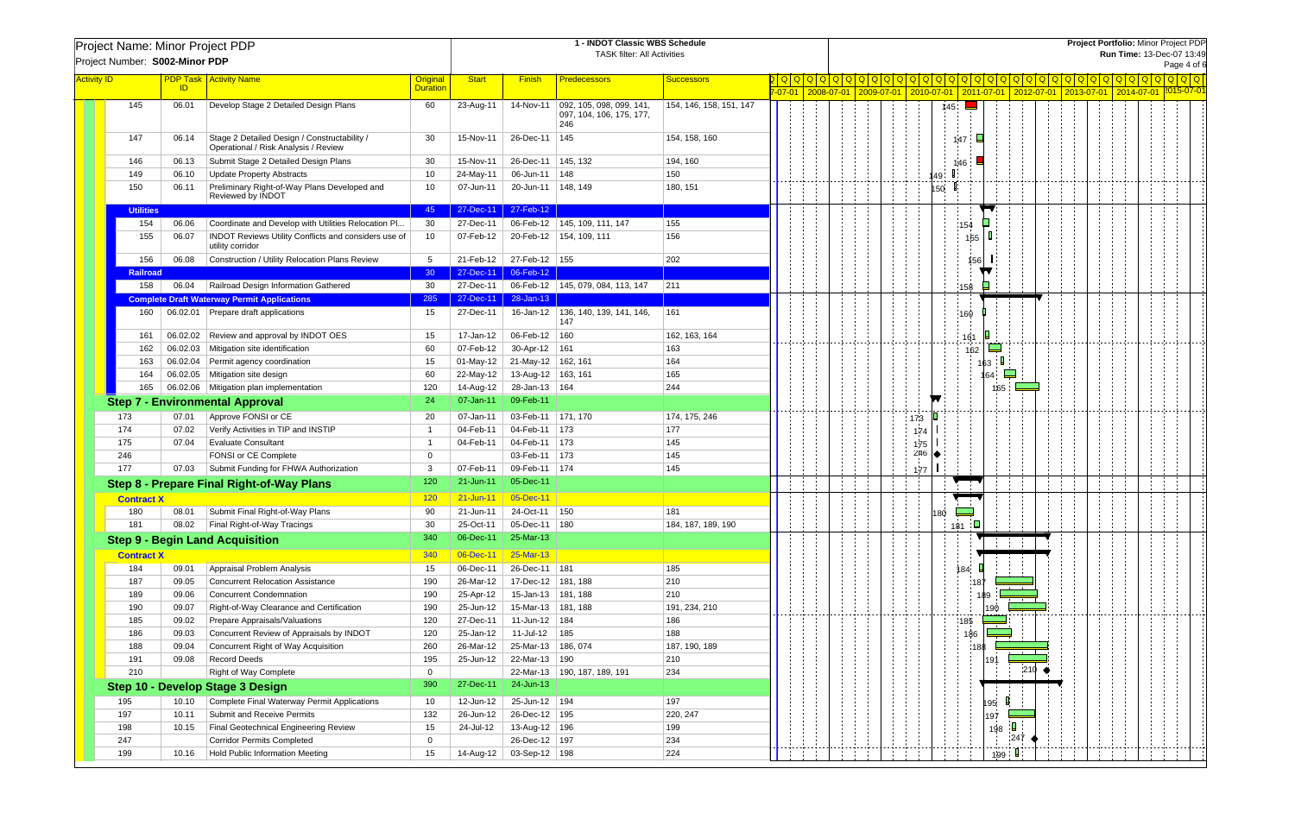|                                |                   |          | Project Name: Minor Project PDP                                                      |                             |               |                         | 1 - INDOT Classic WBS Schedule                              |                         | Project Portfolio: Minor Project PDP |                                                                                                            |               |           |                          |  |  |  |         |  |  |  |  |  |
|--------------------------------|-------------------|----------|--------------------------------------------------------------------------------------|-----------------------------|---------------|-------------------------|-------------------------------------------------------------|-------------------------|--------------------------------------|------------------------------------------------------------------------------------------------------------|---------------|-----------|--------------------------|--|--|--|---------|--|--|--|--|--|
| Project Number: S002-Minor PDP |                   |          |                                                                                      |                             |               |                         | <b>TASK filter: All Activities</b>                          |                         |                                      | Run Time: 13-Dec-07 13:49<br>Page 4 of 6                                                                   |               |           |                          |  |  |  |         |  |  |  |  |  |
|                                |                   |          | <b>PDP Task   Activity Name</b>                                                      |                             |               | Finish                  |                                                             |                         |                                      |                                                                                                            |               |           |                          |  |  |  |         |  |  |  |  |  |
| <b>Activity ID</b>             |                   | ID       |                                                                                      | Original<br><b>Duration</b> | <b>Start</b>  |                         | <b>Predecessors</b>                                         | <b>Successors</b>       |                                      | 7-07-01 2008-07-01 2009-07-01 2010-07-01 2011-07-01 2012-07-01 2013-07-01 2014-07-01 <sup>2015-07-01</sup> |               |           |                          |  |  |  | Q Q Q Q |  |  |  |  |  |
|                                | 145               | 06.01    | Develop Stage 2 Detailed Design Plans                                                | 60                          | 23-Aug-11     | $14-Nov-11$             | 092, 105, 098, 099, 141,<br>097, 104, 106, 175, 177,<br>246 | 154, 146, 158, 151, 147 |                                      |                                                                                                            |               | 145:      |                          |  |  |  |         |  |  |  |  |  |
|                                | 147               | 06.14    | Stage 2 Detailed Design / Constructability /<br>Operational / Risk Analysis / Review | 30                          | 15-Nov-11     | 26-Dec-11   145         |                                                             | 154, 158, 160           |                                      |                                                                                                            |               | 147       |                          |  |  |  |         |  |  |  |  |  |
|                                | 146               | 06.13    | Submit Stage 2 Detailed Design Plans                                                 | 30                          | 15-Nov-11     | 26-Dec-11   145, 132    |                                                             | 194, 160                |                                      |                                                                                                            |               | 146       |                          |  |  |  |         |  |  |  |  |  |
|                                | 149               | 06.10    | <b>Update Property Abstracts</b>                                                     | 10                          | 24-May-11     | 06-Jun-11               | 148                                                         | 150                     |                                      |                                                                                                            | 49            |           |                          |  |  |  |         |  |  |  |  |  |
|                                | 150               | 06.11    | Preliminary Right-of-Way Plans Developed and<br>Reviewed by INDOT                    | 10                          | 07-Jun-11     | 20-Jun-11   148, 149    |                                                             | 180, 151                |                                      |                                                                                                            | 150.          |           |                          |  |  |  |         |  |  |  |  |  |
|                                | <b>Utilities</b>  |          |                                                                                      | 45                          | 27-Dec-11     | 27-Feb-12               |                                                             |                         |                                      |                                                                                                            |               |           |                          |  |  |  |         |  |  |  |  |  |
|                                | 154               | 06.06    | Coordinate and Develop with Utilities Relocation Pl.                                 | 30                          | 27-Dec-11     |                         | 06-Feb-12 145, 109, 111, 147                                | 155                     |                                      |                                                                                                            |               | 154       |                          |  |  |  |         |  |  |  |  |  |
|                                | 155               | 06.07    | INDOT Reviews Utility Conflicts and considers use of<br>utility corridor             | 10                          | 07-Feb-12     |                         | 20-Feb-12 154, 109, 111                                     | 156                     |                                      |                                                                                                            |               | 155       |                          |  |  |  |         |  |  |  |  |  |
|                                | 156               | 06.08    | Construction / Utility Relocation Plans Review                                       | -5                          | 21-Feb-12     | 27-Feb-12 155           |                                                             | 202                     |                                      |                                                                                                            |               | 156       |                          |  |  |  |         |  |  |  |  |  |
|                                | <b>Railroad</b>   |          |                                                                                      | 30 <sup>°</sup>             | 27-Dec-11     | 06-Feb-12               |                                                             |                         |                                      |                                                                                                            |               |           |                          |  |  |  |         |  |  |  |  |  |
|                                | 158               | 06.04    | Railroad Design Information Gathered                                                 | 30                          | 27-Dec-11     |                         | 06-Feb-12 145, 079, 084, 113, 147                           | 211                     |                                      |                                                                                                            |               | L.<br>158 |                          |  |  |  |         |  |  |  |  |  |
|                                |                   |          | <b>Complete Draft Waterway Permit Applications</b>                                   | 285                         | 27-Dec-11     | 28-Jan-13               |                                                             |                         |                                      |                                                                                                            |               |           |                          |  |  |  |         |  |  |  |  |  |
|                                | 160               |          | 06.02.01 Prepare draft applications                                                  | 15                          | 27-Dec-11     |                         | 16-Jan-12   136, 140, 139, 141, 146,<br>147                 | 161                     |                                      |                                                                                                            |               | 160       |                          |  |  |  |         |  |  |  |  |  |
|                                | 161               |          | 06.02.02 Review and approval by INDOT OES                                            | 15                          | 17-Jan-12     | 06-Feb-12   160         |                                                             | 162, 163, 164           |                                      |                                                                                                            |               | 161       |                          |  |  |  |         |  |  |  |  |  |
|                                | 162               | 06.02.03 | Mitigation site identification                                                       | 60                          | 07-Feb-12     | 30-Apr-12   161         |                                                             | 163                     |                                      |                                                                                                            |               | 162<br>┕  |                          |  |  |  |         |  |  |  |  |  |
|                                | 163               |          | 06.02.04 Permit agency coordination                                                  | 15                          | 01-May-12     | 21-May-12 162, 161      |                                                             | 164                     |                                      |                                                                                                            |               | 163       |                          |  |  |  |         |  |  |  |  |  |
|                                | 164               | 06.02.05 | Mitigation site design                                                               | 60                          | 22-May-12     | 13-Aug-12 163, 161      |                                                             | 165                     |                                      |                                                                                                            |               | 164.      | $\overline{\phantom{a}}$ |  |  |  |         |  |  |  |  |  |
|                                | 165               |          | 06.02.06   Mitigation plan implementation                                            | 120                         | 14-Aug-12     | 28-Jan-13 164           |                                                             | 244                     |                                      |                                                                                                            |               | 165       |                          |  |  |  |         |  |  |  |  |  |
|                                |                   |          | <b>Step 7 - Environmental Approval</b>                                               | 24                          | 07-Jan-11     | 09-Feb-11               |                                                             |                         |                                      |                                                                                                            |               |           |                          |  |  |  |         |  |  |  |  |  |
|                                | 173               | 07.01    | Approve FONSI or CE                                                                  | -20                         | 07-Jan-11     | 03-Feb-11   171, 170    |                                                             | 174, 175, 246           |                                      |                                                                                                            | 173           |           |                          |  |  |  |         |  |  |  |  |  |
|                                | 174               | 07.02    | Verify Activities in TIP and INSTIP                                                  |                             | 04-Feb-11     | 04-Feb-11 173           |                                                             | 177                     |                                      |                                                                                                            | 174           |           |                          |  |  |  |         |  |  |  |  |  |
|                                | 175               | 07.04    | <b>Evaluate Consultant</b>                                                           | - 1                         | 04-Feb-11     | 04-Feb-11               | 173                                                         | 145                     |                                      |                                                                                                            | 175           |           |                          |  |  |  |         |  |  |  |  |  |
|                                | 246               |          | FONSI or CE Complete                                                                 | $\Omega$                    |               | 03-Feb-11   173         |                                                             | 145                     |                                      |                                                                                                            | 246 $\bullet$ |           |                          |  |  |  |         |  |  |  |  |  |
|                                | 177               | 07.03    | Submit Funding for FHWA Authorization                                                | 3                           | 07-Feb-11     | 09-Feb-11   174         |                                                             | 145                     |                                      |                                                                                                            | 177           |           |                          |  |  |  |         |  |  |  |  |  |
|                                |                   |          | <b>Step 8 - Prepare Final Right-of-Way Plans</b>                                     | 120                         | 21-Jun-11     | 05-Dec-11               |                                                             |                         |                                      |                                                                                                            |               |           |                          |  |  |  |         |  |  |  |  |  |
|                                |                   |          |                                                                                      | 120                         | $21 - Jun-11$ | 05-Dec-11               |                                                             |                         |                                      |                                                                                                            |               |           |                          |  |  |  |         |  |  |  |  |  |
|                                | <b>Contract X</b> |          |                                                                                      |                             |               | 21-Jun-11 24-Oct-11 150 |                                                             | 181                     |                                      |                                                                                                            |               |           |                          |  |  |  |         |  |  |  |  |  |
|                                | 181               | 08.02    | 180   08.01   Submit Final Right-of-Way Plans<br>Final Right-of-Way Tracings         | 90<br>30                    | 25-Oct-11     | 05-Dec-11   180         |                                                             | 184, 187, 189, 190      |                                      |                                                                                                            | 180           | † ⊟       |                          |  |  |  |         |  |  |  |  |  |
|                                |                   |          |                                                                                      | 340                         | 06-Dec-11     | 25-Mar-13               |                                                             |                         |                                      |                                                                                                            |               | 181       |                          |  |  |  |         |  |  |  |  |  |
|                                |                   |          | <b>Step 9 - Begin Land Acquisition</b>                                               |                             |               |                         |                                                             |                         |                                      |                                                                                                            |               |           |                          |  |  |  |         |  |  |  |  |  |
|                                | <b>Contract X</b> |          |                                                                                      | <b>340</b>                  | 06-Dec-11     | 25-Mar-13               |                                                             |                         |                                      |                                                                                                            |               |           |                          |  |  |  |         |  |  |  |  |  |
|                                | 184               | 09.01    | Appraisal Problem Analysis                                                           | 15                          | 06-Dec-11     | 26-Dec-11   181         |                                                             | 185                     |                                      |                                                                                                            |               | 184       |                          |  |  |  |         |  |  |  |  |  |
|                                | 187               | 09.05    | <b>Concurrent Relocation Assistance</b>                                              | 190                         | 26-Mar-12     | 17-Dec-12 181, 188      |                                                             | 210                     |                                      |                                                                                                            |               | 18        |                          |  |  |  |         |  |  |  |  |  |
|                                | 189               | 09.06    | <b>Concurrent Condemnation</b>                                                       | 190                         | 25-Apr-12     | 15-Jan-13   181, 188    |                                                             | 210                     |                                      |                                                                                                            |               | 189       |                          |  |  |  |         |  |  |  |  |  |
|                                | 190               | 09.07    | Right-of-Way Clearance and Certification                                             | 190                         | 25-Jun-12     | 15-Mar-13 181, 188      |                                                             | 191, 234, 210           |                                      |                                                                                                            |               | 190       |                          |  |  |  |         |  |  |  |  |  |
|                                | 185               | 09.02    | Prepare Appraisals/Valuations                                                        | 120                         | 27-Dec-11     | 11-Jun-12 184           |                                                             | 186                     |                                      |                                                                                                            |               | 185       |                          |  |  |  |         |  |  |  |  |  |
|                                | 186               | 09.03    | Concurrent Review of Appraisals by INDOT                                             | 120                         | 25-Jan-12     | 11-Jul-12 185           |                                                             | 188                     |                                      |                                                                                                            |               | 186       |                          |  |  |  |         |  |  |  |  |  |
|                                | 188               | 09.04    | Concurrent Right of Way Acquisition                                                  | 260                         | 26-Mar-12     | 25-Mar-13   186, 074    |                                                             | 187, 190, 189           |                                      |                                                                                                            |               | 188       |                          |  |  |  |         |  |  |  |  |  |
|                                | 191               | 09.08    | Record Deeds                                                                         | 195                         | 25-Jun-12     | 22-Mar-13   190         |                                                             | 210                     |                                      |                                                                                                            |               |           | 210<br>-4                |  |  |  |         |  |  |  |  |  |
|                                | 210               |          | <b>Right of Way Complete</b>                                                         | $\Omega$                    |               |                         | 22-Mar-13   190, 187, 189, 191                              | 234                     |                                      |                                                                                                            |               |           |                          |  |  |  |         |  |  |  |  |  |
|                                |                   |          | Step 10 - Develop Stage 3 Design                                                     | 390                         | 27-Dec-11     | 24-Jun-13               |                                                             |                         |                                      |                                                                                                            |               |           |                          |  |  |  |         |  |  |  |  |  |
|                                | 195               | 10.10    | <b>Complete Final Waterway Permit Applications</b>                                   | 10                          | 12-Jun-12     | 25-Jun-12 194           |                                                             | 197                     |                                      |                                                                                                            |               | 95        |                          |  |  |  |         |  |  |  |  |  |
|                                | 197               | 10.11    | <b>Submit and Receive Permits</b>                                                    | 132                         | 26-Jun-12     | 26-Dec-12   195         |                                                             | 220, 247                |                                      |                                                                                                            |               | 197       |                          |  |  |  |         |  |  |  |  |  |
|                                | 198               | 10.15    | Final Geotechnical Engineering Review                                                | 15                          | 24-Jul-12     | 13-Aug-12 196           |                                                             | 199                     |                                      |                                                                                                            |               | 198       | П                        |  |  |  |         |  |  |  |  |  |
|                                | 247               |          | <b>Corridor Permits Completed</b>                                                    | $\Omega$                    |               | 26-Dec-12   197         |                                                             | 234                     |                                      |                                                                                                            |               |           | 247                      |  |  |  |         |  |  |  |  |  |
|                                | 199               | 10.16    | Hold Public Information Meeting                                                      | 15                          | 14-Aug-12     | 03-Sep-12 198           |                                                             | 224                     |                                      |                                                                                                            |               |           | 199 <sup>1</sup>         |  |  |  |         |  |  |  |  |  |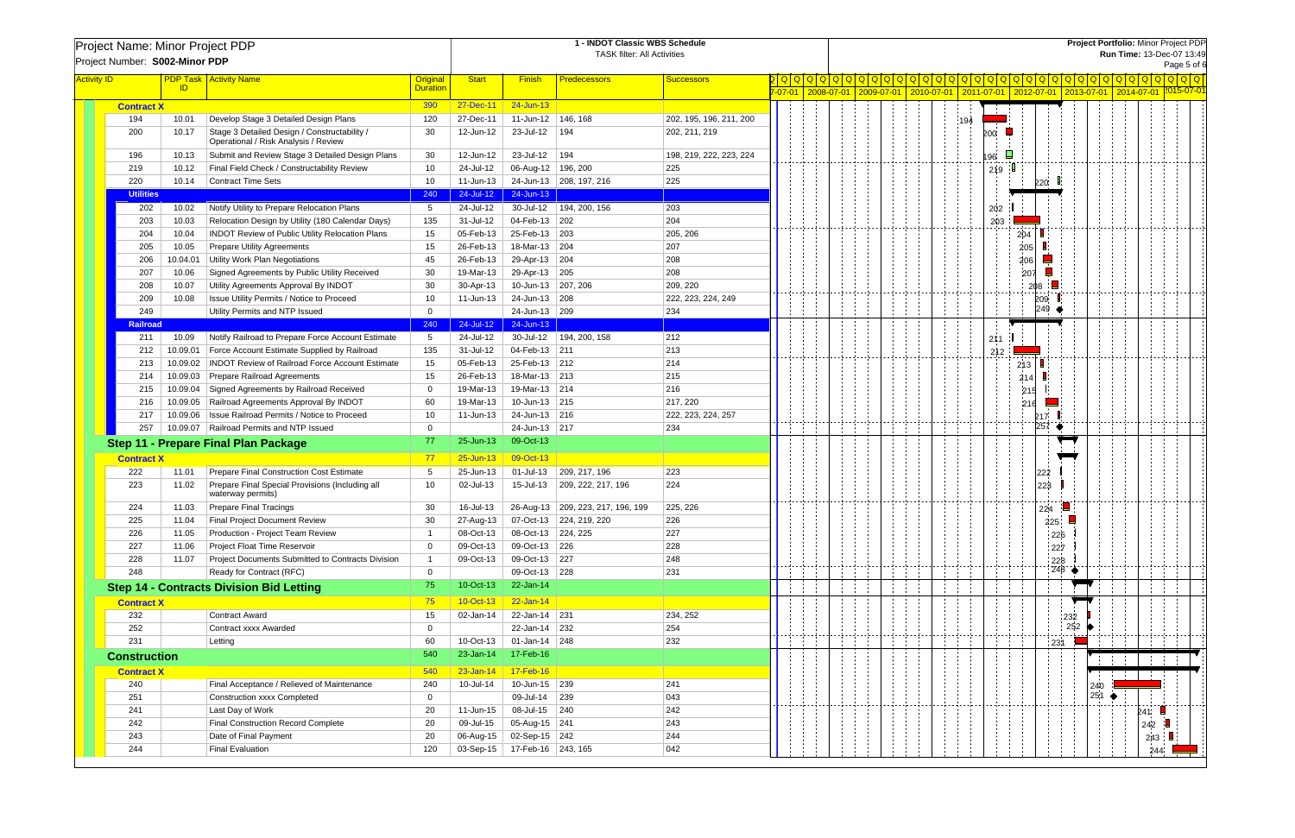|                    |                                |          | Project Name: Minor Project PDP                                      |                             | 1 - INDOT Classic WBS Schedule<br><b>TASK filter: All Activities</b> |                    |                                   |                         |  |  |  |  |  |                                  |
|--------------------|--------------------------------|----------|----------------------------------------------------------------------|-----------------------------|----------------------------------------------------------------------|--------------------|-----------------------------------|-------------------------|--|--|--|--|--|----------------------------------|
|                    | Project Number: S002-Minor PDP |          |                                                                      |                             |                                                                      |                    |                                   |                         |  |  |  |  |  |                                  |
| <b>Activity ID</b> |                                | ID       | <b>PDP Task   Activity Name</b>                                      | Original<br><b>Duration</b> | <b>Start</b>                                                         | <b>Finish</b>      | <b>Predecessors</b>               | <b>Successors</b>       |  |  |  |  |  | <u> a a a a a a a a a a a a </u> |
|                    | <b>Contract X</b>              |          |                                                                      | 390                         | 27-Dec-11                                                            | 24-Jun-13          |                                   |                         |  |  |  |  |  |                                  |
|                    | 194                            | 10.01    | Develop Stage 3 Detailed Design Plans                                | 120                         | 27-Dec-11                                                            | 11-Jun-12          | 146, 168                          | 202, 195, 196, 211, 200 |  |  |  |  |  |                                  |
|                    | 200                            | 10.17    | Stage 3 Detailed Design / Constructability /                         | 30                          | 12-Jun-12                                                            | 23-Jul-12          | 194                               | 202, 211, 219           |  |  |  |  |  |                                  |
|                    |                                |          | Operational / Risk Analysis / Review                                 |                             |                                                                      |                    |                                   |                         |  |  |  |  |  |                                  |
|                    | 196                            | 10.13    | Submit and Review Stage 3 Detailed Design Plans                      | 30                          | 12-Jun-12                                                            | 23-Jul-12          | 194                               | 198, 219, 222, 223, 224 |  |  |  |  |  |                                  |
|                    | 219                            | 10.12    | Final Field Check / Constructability Review                          | 10                          | 24-Jul-12                                                            | 06-Aug-12          | 196, 200                          | 225                     |  |  |  |  |  |                                  |
|                    | 220                            | 10.14    | <b>Contract Time Sets</b>                                            | 10                          | 11-Jun-13                                                            | 24-Jun-13          | 208, 197, 216                     | 225                     |  |  |  |  |  |                                  |
|                    | <b>Utilities</b>               |          |                                                                      | 240                         | 24-Jul-12                                                            | 24-Jun-13          |                                   |                         |  |  |  |  |  |                                  |
|                    | 202                            | 10.02    | Notify Utility to Prepare Relocation Plans                           | 5                           | 24-Jul-12                                                            | 30-Jul-12          | 194, 200, 156                     | 203                     |  |  |  |  |  |                                  |
|                    | 203                            | 10.03    | Relocation Design by Utility (180 Calendar Days)                     | 135                         | 31-Jul-12                                                            | 04-Feb-13          | 202                               | 204                     |  |  |  |  |  |                                  |
|                    | 204                            | 10.04    | <b>INDOT Review of Public Utility Relocation Plans</b>               | 15                          | 05-Feb-13                                                            | 25-Feb-13          | 203                               | 205, 206                |  |  |  |  |  |                                  |
|                    | 205                            | 10.05    | <b>Prepare Utility Agreements</b>                                    | 15                          | 26-Feb-13                                                            | 18-Mar-13          | 204                               | 207                     |  |  |  |  |  |                                  |
|                    | 206                            | 10.04.01 | <b>Utility Work Plan Negotiations</b>                                | 45                          | 26-Feb-13                                                            | 29-Apr-13          | 204                               | 208                     |  |  |  |  |  |                                  |
|                    | 207                            | 10.06    | Signed Agreements by Public Utility Received                         | 30                          | 19-Mar-13                                                            | 29-Apr-13          | 205                               | 208                     |  |  |  |  |  |                                  |
|                    | 208                            | 10.07    | Utility Agreements Approval By INDOT                                 | 30                          | 30-Apr-13                                                            | 10-Jun-13          | 207, 206                          | 209, 220                |  |  |  |  |  |                                  |
|                    | 209                            | 10.08    | Issue Utility Permits / Notice to Proceed                            | 10                          | 11-Jun-13                                                            | 24-Jun-13          | 208                               | 222, 223, 224, 249      |  |  |  |  |  |                                  |
|                    | 249                            |          | Utility Permits and NTP Issued                                       | $\mathbf 0$                 |                                                                      | 24-Jun-13          | 209                               | 234                     |  |  |  |  |  |                                  |
|                    | Railroad                       |          |                                                                      | 240                         | 24-Jul-12                                                            | 24-Jun-13          |                                   |                         |  |  |  |  |  |                                  |
|                    | 211                            | 10.09    | Notify Railroad to Prepare Force Account Estimate                    | 5                           | 24-Jul-12                                                            | 30-Jul-12          | 194, 200, 158                     | 212                     |  |  |  |  |  |                                  |
|                    | 212                            | 10.09.01 | Force Account Estimate Supplied by Railroad                          | 135                         | 31-Jul-12                                                            | 04-Feb-13          | 211                               | 213                     |  |  |  |  |  |                                  |
|                    | 213                            | 10.09.02 | <b>INDOT Review of Railroad Force Account Estimate</b>               | 15                          | 05-Feb-13                                                            | 25-Feb-13          | 212                               | 214                     |  |  |  |  |  |                                  |
|                    | 214                            | 10.09.03 | <b>Prepare Railroad Agreements</b>                                   | 15                          | 26-Feb-13                                                            | 18-Mar-13          | 213                               | 215                     |  |  |  |  |  |                                  |
|                    | 215                            | 10.09.04 | Signed Agreements by Railroad Received                               | 0                           | 19-Mar-13                                                            | 19-Mar-13 214      |                                   | 216                     |  |  |  |  |  |                                  |
|                    | 216                            | 10.09.05 | Railroad Agreements Approval By INDOT                                | 60                          | 19-Mar-13                                                            | 10-Jun-13          | 215                               | 217, 220                |  |  |  |  |  |                                  |
|                    | 217                            | 10.09.06 | Issue Railroad Permits / Notice to Proceed                           | 10                          | 11-Jun-13                                                            | 24-Jun-13          | 216                               | 222, 223, 224, 257      |  |  |  |  |  |                                  |
|                    | 257                            |          | 10.09.07   Railroad Permits and NTP Issued                           | $\mathbf 0$                 |                                                                      | 24-Jun-13 217      |                                   | 234                     |  |  |  |  |  |                                  |
|                    |                                |          | <b>Step 11 - Prepare Final Plan Package</b>                          | 77                          | 25-Jun-13                                                            | 09-Oct-13          |                                   |                         |  |  |  |  |  |                                  |
|                    | <b>Contract X</b>              |          |                                                                      | 77                          | 25-Jun-13                                                            | 09-Oct-13          |                                   |                         |  |  |  |  |  |                                  |
|                    | 222                            | 11.01    | Prepare Final Construction Cost Estimate                             | 5                           | 25-Jun-13                                                            | 01-Jul-13          | 209, 217, 196                     | 223                     |  |  |  |  |  |                                  |
|                    | 223                            | 11.02    | Prepare Final Special Provisions (Including all<br>waterway permits) | 10                          | 02-Jul-13                                                            | 15-Jul-13          | 209, 222, 217, 196                | 224                     |  |  |  |  |  |                                  |
|                    | 224                            | 11.03    | <b>Prepare Final Tracings</b>                                        | 30                          | 16-Jul-13                                                            |                    | 26-Aug-13 209, 223, 217, 196, 199 | 225, 226                |  |  |  |  |  |                                  |
|                    | 225                            | 11.04    | <b>Final Project Document Review</b>                                 | 30                          | 27-Aug-13                                                            | $07 - Oct-13$      | 224, 219, 220                     | 226                     |  |  |  |  |  |                                  |
|                    | 226                            | 11.05    | Production - Project Team Review                                     | $\mathbf{1}$                | 08-Oct-13                                                            | 08-Oct-13          | 224, 225                          | 227                     |  |  |  |  |  |                                  |
|                    | 227                            | 11.06    | Project Float Time Reservoir                                         | 0                           | 09-Oct-13                                                            | 09-Oct-13          | 226                               | 228                     |  |  |  |  |  |                                  |
|                    | 228                            | 11.07    | Project Documents Submitted to Contracts Division                    | $\mathbf{1}$                | 09-Oct-13                                                            | 09-Oct-13          | 227                               | 248                     |  |  |  |  |  |                                  |
|                    | 248                            |          | Ready for Contract (RFC)                                             | $\mathbf 0$                 |                                                                      | 09-Oct-13 228      |                                   | 231                     |  |  |  |  |  |                                  |
|                    |                                |          | <b>Step 14 - Contracts Division Bid Letting</b>                      | 75                          | 10-Oct-13                                                            | 22-Jan-14          |                                   |                         |  |  |  |  |  |                                  |
|                    | <b>Contract X</b>              |          |                                                                      | 75                          | 10-Oct-13                                                            | 22-Jan-14          |                                   |                         |  |  |  |  |  |                                  |
|                    | 232                            |          | <b>Contract Award</b>                                                | 15                          | 02-Jan-14                                                            | 22-Jan-14 231      |                                   | 234, 252                |  |  |  |  |  |                                  |
|                    | 252                            |          | <b>Contract xxxx Awarded</b>                                         | 0                           |                                                                      | $22$ -Jan-14       | 232                               | 254                     |  |  |  |  |  |                                  |
|                    | 231                            |          | Letting                                                              | 60                          | 10-Oct-13                                                            | 01-Jan-14 248      |                                   | 232                     |  |  |  |  |  |                                  |
|                    | <b>Construction</b>            |          |                                                                      | 540                         | 23-Jan-14                                                            | 17-Feb-16          |                                   |                         |  |  |  |  |  |                                  |
|                    | <b>Contract X</b>              |          |                                                                      | 540                         | 23-Jan-14                                                            | 17-Feb-16          |                                   |                         |  |  |  |  |  |                                  |
|                    | 240                            |          | Final Acceptance / Relieved of Maintenance                           | 240                         | 10-Jul-14                                                            | 10-Jun-15 239      |                                   | 241                     |  |  |  |  |  |                                  |
|                    | 251                            |          | <b>Construction xxxx Completed</b>                                   | 0                           |                                                                      | 09-Jul-14          | 239                               | 043                     |  |  |  |  |  |                                  |
|                    | 241                            |          | Last Day of Work                                                     | 20                          | 11-Jun-15                                                            | 08-Jul-15          | 240                               | 242                     |  |  |  |  |  |                                  |
|                    | 242                            |          | <b>Final Construction Record Complete</b>                            | 20                          | 09-Jul-15                                                            | 05-Aug-15 241      |                                   | 243                     |  |  |  |  |  |                                  |
|                    | 243                            |          | Date of Final Payment                                                | 20                          | 06-Aug-15                                                            | 02-Sep-15 242      |                                   | 244                     |  |  |  |  |  |                                  |
|                    | 244                            |          | <b>Final Evaluation</b>                                              | 120                         | 03-Sep-15                                                            | 17-Feb-16 243, 165 |                                   | 042                     |  |  |  |  |  |                                  |
|                    |                                |          |                                                                      |                             |                                                                      |                    |                                   |                         |  |  |  |  |  |                                  |